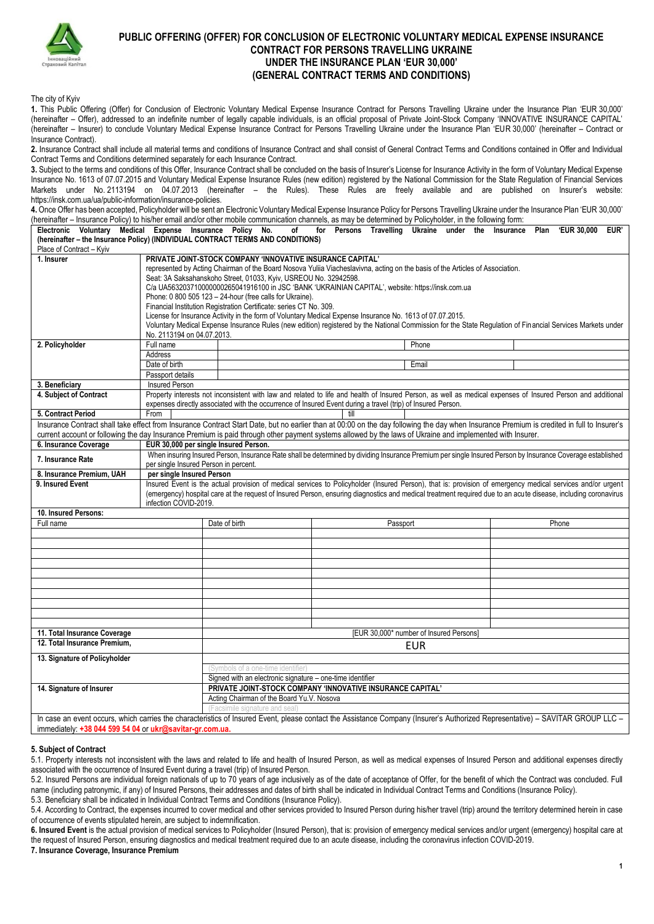

# **PUBLIC OFFERING (OFFER) FOR CONCLUSION OF ELECTRONIC VOLUNTARY MEDICAL EXPENSE INSURANCE CONTRACT FOR PERSONS TRAVELLING UKRAINE UNDER THE INSURANCE PLAN 'EUR 30,000' (GENERAL CONTRACT TERMS AND CONDITIONS)**

The city of Kyiv

**1.** This Public Offering (Offer) for Conclusion of Electronic Voluntary Medical Expense Insurance Contract for Persons Travelling Ukraine under the Insurance Plan 'EUR 30,000' (hereinafter – Offer), addressed to an indefinite number of legally capable individuals, is an official proposal of Private Joint-Stock Company 'INNOVATIVE INSURANCE CAPITAL' (hereinafter – Insurer) to conclude Voluntary Medical Expense Insurance Contract for Persons Travelling Ukraine under the Insurance Plan 'EUR 30,000' (hereinafter – Contract or Insurance Contract).

**2.** Insurance Contract shall include all material terms and conditions of Insurance Contract and shall consist of General Contract Terms and Conditions contained in Offer and Individual Contract Terms and Conditions determined separately for each Insurance Contract.

**3.** Subject to the terms and conditions of this Offer, Insurance Contract shall be concluded on the basis of Insurer's License for Insurance Activity in the form of Voluntary Medical Expense Insurance No. 1613 of 07.07.2015 and Voluntary Medical Expense Insurance Rules (new edition) registered by the National Commission for the State Regulation of Financial Services Markets under No. 2113194 on 04.07.2013 (hereinafter – the Rules). These Rules are freely available and are published on Insurer's website: https://insk.com.ua/ua/public-information/insurance-policies.

**4.** Once Offer has been accepted, Policyholder will be sent an Electronic Voluntary Medical Expense Insurance Policy for Persons Travelling Ukraine under the Insurance Plan 'EUR 30,000' (hereinafter – Insurance Policy) to his/her email and/or other mobile communication channels, as may be determined by Policyholder, in the following form:

| Electronic Voluntary Medical Expense Insurance Policy No.<br>(hereinafter - the Insurance Policy) (INDIVIDUAL CONTRACT TERMS AND CONDITIONS)<br>Place of Contract - Kyiv |                                                                                                                                                                                                                                                                         | of                                                                                                          |      |          | for Persons Travelling Ukraine under the Insurance Plan 'EUR 30,000 EUR'                                                                                                                   |
|--------------------------------------------------------------------------------------------------------------------------------------------------------------------------|-------------------------------------------------------------------------------------------------------------------------------------------------------------------------------------------------------------------------------------------------------------------------|-------------------------------------------------------------------------------------------------------------|------|----------|--------------------------------------------------------------------------------------------------------------------------------------------------------------------------------------------|
| 1. Insurer                                                                                                                                                               | PRIVATE JOINT-STOCK COMPANY 'INNOVATIVE INSURANCE CAPITAL'                                                                                                                                                                                                              |                                                                                                             |      |          |                                                                                                                                                                                            |
|                                                                                                                                                                          | represented by Acting Chairman of the Board Nosova Yuliia Viacheslavivna, acting on the basis of the Articles of Association.<br>Seat: 3A Saksahanskoho Street, 01033, Kyiv, USREOU No. 32942598.                                                                       |                                                                                                             |      |          |                                                                                                                                                                                            |
|                                                                                                                                                                          |                                                                                                                                                                                                                                                                         |                                                                                                             |      |          |                                                                                                                                                                                            |
|                                                                                                                                                                          | C/a UA563203710000000265041916100 in JSC 'BANK 'UKRAINIAN CAPITAL', website: https://insk.com.ua                                                                                                                                                                        |                                                                                                             |      |          |                                                                                                                                                                                            |
|                                                                                                                                                                          | Phone: 0 800 505 123 - 24-hour (free calls for Ukraine).                                                                                                                                                                                                                |                                                                                                             |      |          |                                                                                                                                                                                            |
|                                                                                                                                                                          |                                                                                                                                                                                                                                                                         | Financial Institution Registration Certificate: series CT No. 309.                                          |      |          |                                                                                                                                                                                            |
|                                                                                                                                                                          | License for Insurance Activity in the form of Voluntary Medical Expense Insurance No. 1613 of 07.07.2015.<br>Voluntary Medical Expense Insurance Rules (new edition) registered by the National Commission for the State Regulation of Financial Services Markets under |                                                                                                             |      |          |                                                                                                                                                                                            |
|                                                                                                                                                                          | No. 2113194 on 04.07.2013.                                                                                                                                                                                                                                              |                                                                                                             |      |          |                                                                                                                                                                                            |
| 2. Policyholder                                                                                                                                                          | Full name                                                                                                                                                                                                                                                               |                                                                                                             |      | Phone    |                                                                                                                                                                                            |
|                                                                                                                                                                          | Address                                                                                                                                                                                                                                                                 |                                                                                                             |      |          |                                                                                                                                                                                            |
|                                                                                                                                                                          | Date of birth                                                                                                                                                                                                                                                           |                                                                                                             |      | Email    |                                                                                                                                                                                            |
|                                                                                                                                                                          | Passport details                                                                                                                                                                                                                                                        |                                                                                                             |      |          |                                                                                                                                                                                            |
| 3. Beneficiary                                                                                                                                                           | <b>Insured Person</b>                                                                                                                                                                                                                                                   |                                                                                                             |      |          |                                                                                                                                                                                            |
| 4. Subject of Contract                                                                                                                                                   |                                                                                                                                                                                                                                                                         |                                                                                                             |      |          | Property interests not inconsistent with law and related to life and health of Insured Person, as well as medical expenses of Insured Person and additional                                |
|                                                                                                                                                                          |                                                                                                                                                                                                                                                                         | expenses directly associated with the occurrence of Insured Event during a travel (trip) of Insured Person. |      |          |                                                                                                                                                                                            |
| 5. Contract Period                                                                                                                                                       | From                                                                                                                                                                                                                                                                    |                                                                                                             | till |          |                                                                                                                                                                                            |
|                                                                                                                                                                          |                                                                                                                                                                                                                                                                         |                                                                                                             |      |          | Insurance Contract shall take effect from Insurance Contract Start Date, but no earlier than at 00:00 on the day following the day when Insurance Premium is credited in full to Insurer's |
| current account or following the day Insurance Premium is paid through other payment systems allowed by the laws of Ukraine and implemented with Insurer.                |                                                                                                                                                                                                                                                                         |                                                                                                             |      |          |                                                                                                                                                                                            |
| 6. Insurance Coverage                                                                                                                                                    | EUR 30,000 per single Insured Person.                                                                                                                                                                                                                                   |                                                                                                             |      |          |                                                                                                                                                                                            |
| 7. Insurance Rate                                                                                                                                                        | When insuring Insured Person, Insurance Rate shall be determined by dividing Insurance Premium per single Insured Person by Insurance Coverage established<br>per single Insured Person in percent.                                                                     |                                                                                                             |      |          |                                                                                                                                                                                            |
| 8. Insurance Premium, UAH                                                                                                                                                | per single Insured Person                                                                                                                                                                                                                                               |                                                                                                             |      |          |                                                                                                                                                                                            |
| 9. Insured Event                                                                                                                                                         | Insured Event is the actual provision of medical services to Policyholder (Insured Person), that is: provision of emergency medical services and/or urgent                                                                                                              |                                                                                                             |      |          |                                                                                                                                                                                            |
|                                                                                                                                                                          | (emergency) hospital care at the request of Insured Person, ensuring diagnostics and medical treatment required due to an acute disease, including coronavirus<br>infection COVID-2019.                                                                                 |                                                                                                             |      |          |                                                                                                                                                                                            |
| 10. Insured Persons:                                                                                                                                                     |                                                                                                                                                                                                                                                                         |                                                                                                             |      |          |                                                                                                                                                                                            |
| Full name                                                                                                                                                                |                                                                                                                                                                                                                                                                         | Date of birth                                                                                               |      | Passport | Phone                                                                                                                                                                                      |
|                                                                                                                                                                          |                                                                                                                                                                                                                                                                         |                                                                                                             |      |          |                                                                                                                                                                                            |
|                                                                                                                                                                          |                                                                                                                                                                                                                                                                         |                                                                                                             |      |          |                                                                                                                                                                                            |
|                                                                                                                                                                          |                                                                                                                                                                                                                                                                         |                                                                                                             |      |          |                                                                                                                                                                                            |
|                                                                                                                                                                          |                                                                                                                                                                                                                                                                         |                                                                                                             |      |          |                                                                                                                                                                                            |
|                                                                                                                                                                          |                                                                                                                                                                                                                                                                         |                                                                                                             |      |          |                                                                                                                                                                                            |
|                                                                                                                                                                          |                                                                                                                                                                                                                                                                         |                                                                                                             |      |          |                                                                                                                                                                                            |
|                                                                                                                                                                          |                                                                                                                                                                                                                                                                         |                                                                                                             |      |          |                                                                                                                                                                                            |
|                                                                                                                                                                          |                                                                                                                                                                                                                                                                         |                                                                                                             |      |          |                                                                                                                                                                                            |
|                                                                                                                                                                          |                                                                                                                                                                                                                                                                         |                                                                                                             |      |          |                                                                                                                                                                                            |
| 11. Total Insurance Coverage                                                                                                                                             | [EUR 30,000* number of Insured Persons]                                                                                                                                                                                                                                 |                                                                                                             |      |          |                                                                                                                                                                                            |
| 12. Total Insurance Premium,                                                                                                                                             |                                                                                                                                                                                                                                                                         | EUR                                                                                                         |      |          |                                                                                                                                                                                            |
| 13. Signature of Policyholder                                                                                                                                            |                                                                                                                                                                                                                                                                         |                                                                                                             |      |          |                                                                                                                                                                                            |
|                                                                                                                                                                          |                                                                                                                                                                                                                                                                         | (Symbols of a one-time identifier)                                                                          |      |          |                                                                                                                                                                                            |
|                                                                                                                                                                          |                                                                                                                                                                                                                                                                         | Signed with an electronic signature - one-time identifier                                                   |      |          |                                                                                                                                                                                            |
| 14. Signature of Insurer                                                                                                                                                 |                                                                                                                                                                                                                                                                         | PRIVATE JOINT-STOCK COMPANY 'INNOVATIVE INSURANCE CAPITAL'                                                  |      |          |                                                                                                                                                                                            |
|                                                                                                                                                                          |                                                                                                                                                                                                                                                                         | Acting Chairman of the Board Yu.V. Nosova                                                                   |      |          |                                                                                                                                                                                            |
|                                                                                                                                                                          |                                                                                                                                                                                                                                                                         | (Facsimile signature and                                                                                    |      |          |                                                                                                                                                                                            |
| immediately: +38 044 599 54 04 or ukr@savitar-gr.com.ua.                                                                                                                 |                                                                                                                                                                                                                                                                         |                                                                                                             |      |          | In case an event occurs, which carries the characteristics of Insured Event, please contact the Assistance Company (Insurer's Authorized Representative) - SAVITAR GROUP LLC -             |

#### **5. Subject of Contract**

5.1. Property interests not inconsistent with the laws and related to life and health of Insured Person, as well as medical expenses of Insured Person and additional expenses directly associated with the occurrence of Insured Event during a travel (trip) of Insured Person.

5.2. Insured Persons are individual foreign nationals of up to 70 years of age inclusively as of the date of acceptance of Offer, for the benefit of which the Contract was concluded. Full name (including patronymic, if any) of Insured Persons, their addresses and dates of birth shall be indicated in Individual Contract Terms and Conditions (Insurance Policy). 5.3. Beneficiary shall be indicated in Individual Contract Terms and Conditions (Insurance Policy).

5.4. According to Contract, the expenses incurred to cover medical and other services provided to Insured Person during his/her travel (trip) around the territory determined herein in case of occurrence of events stipulated herein, are subject to indemnification.

**6. Insured Event** is the actual provision of medical services to Policyholder (Insured Person), that is: provision of emergency medical services and/or urgent (emergency) hospital care at the request of Insured Person, ensuring diagnostics and medical treatment required due to an acute disease, including the coronavirus infection COVID-2019.

**7. Insurance Coverage, Insurance Premium**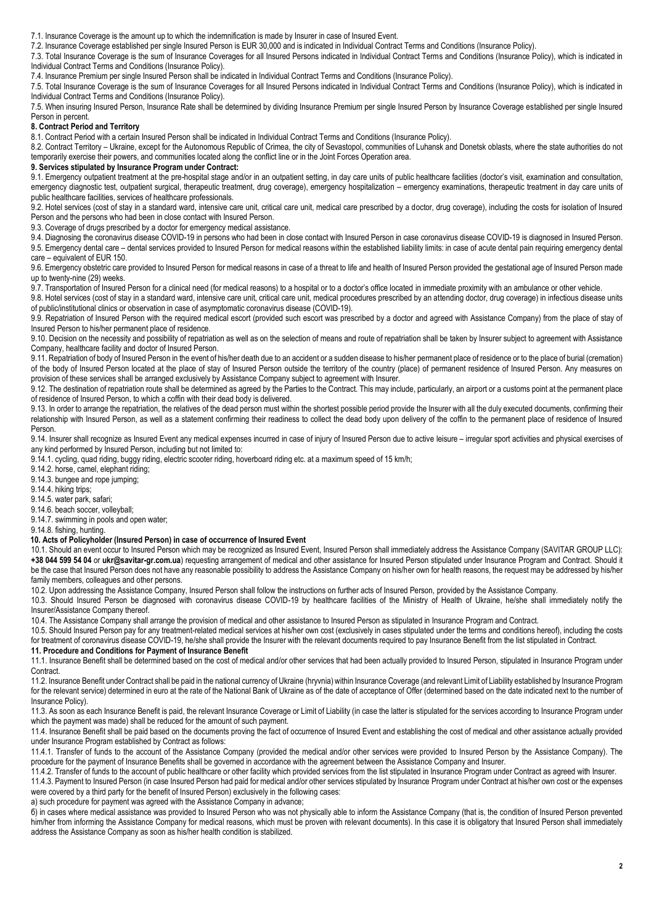7.1. Insurance Coverage is the amount up to which the indemnification is made by Insurer in case of Insured Event.

7.2. Insurance Coverage established per single Insured Person is EUR 30,000 and is indicated in Individual Contract Terms and Conditions (Insurance Policy).

7.3. Total Insurance Coverage is the sum of Insurance Coverages for all Insured Persons indicated in Individual Contract Terms and Conditions (Insurance Policy), which is indicated in Individual Contract Terms and Conditions (Insurance Policy).

7.4. Insurance Premium per single Insured Person shall be indicated in Individual Contract Terms and Conditions (Insurance Policy).

7.5. Total Insurance Coverage is the sum of Insurance Coverages for all Insured Persons indicated in Individual Contract Terms and Conditions (Insurance Policy), which is indicated in Individual Contract Terms and Conditions (Insurance Policy).

7.5. When insuring Insured Person, Insurance Rate shall be determined by dividing Insurance Premium per single Insured Person by Insurance Coverage established per single Insured Person in percent.

#### **8. Contract Period and Territory**

8.1. Contract Period with a certain Insured Person shall be indicated in Individual Contract Terms and Conditions (Insurance Policy).

8.2. Contract Territory – Ukraine, except for the Autonomous Republic of Crimea, the city of Sevastopol, communities of Luhansk and Donetsk oblasts, where the state authorities do not temporarily exercise their powers, and communities located along the conflict line or in the Joint Forces Operation area.

### **9. Services stipulated by Insurance Program under Contract:**

9.1. Emergency outpatient treatment at the pre-hospital stage and/or in an outpatient setting, in day care units of public healthcare facilities (doctor's visit, examination and consultation, emergency diagnostic test, outpatient surgical, therapeutic treatment, drug coverage), emergency hospitalization – emergency examinations, therapeutic treatment in day care units of public healthcare facilities, services of healthcare professionals.

9.2. Hotel services (cost of stay in a standard ward, intensive care unit, critical care unit, medical care prescribed by a doctor, drug coverage), including the costs for isolation of Insured Person and the persons who had been in close contact with Insured Person.

9.3. Coverage of drugs prescribed by a doctor for emergency medical assistance.

9.4. Diagnosing the coronavirus disease COVID-19 in persons who had been in close contact with Insured Person in case coronavirus disease COVID-19 is diagnosed in Insured Person. 9.5. Emergency dental care – dental services provided to Insured Person for medical reasons within the established liability limits: in case of acute dental pain requiring emergency dental care – equivalent of EUR 150.

9.6. Emergency obstetric care provided to Insured Person for medical reasons in case of a threat to life and health of Insured Person provided the gestational age of Insured Person made up to twenty-nine (29) weeks.

9.7. Transportation of Insured Person for a clinical need (for medical reasons) to a hospital or to a doctor's office located in immediate proximity with an ambulance or other vehicle.

9.8. Hotel services (cost of stay in a standard ward, intensive care unit, critical care unit, medical procedures prescribed by an attending doctor, drug coverage) in infectious disease units of public/institutional clinics or observation in case of asymptomatic coronavirus disease (COVID-19).

9.9. Repatriation of Insured Person with the required medical escort (provided such escort was prescribed by a doctor and agreed with Assistance Company) from the place of stay of Insured Person to his/her permanent place of residence.

9.10. Decision on the necessity and possibility of repatriation as well as on the selection of means and route of repatriation shall be taken by Insurer subject to agreement with Assistance Company, healthcare facility and doctor of Insured Person.

9.11. Repatriation of body of Insured Person in the event of his/her death due to an accident or a sudden disease to his/her permanent place of residence or to the place of burial (cremation) of the body of Insured Person located at the place of stay of Insured Person outside the territory of the country (place) of permanent residence of Insured Person. Any measures on provision of these services shall be arranged exclusively by Assistance Company subject to agreement with Insurer.

9.12. The destination of repatriation route shall be determined as agreed by the Parties to the Contract. This may include, particularly, an airport or a customs point at the permanent place of residence of Insured Person, to which a coffin with their dead body is delivered.

9.13. In order to arrange the repatriation, the relatives of the dead person must within the shortest possible period provide the Insurer with all the duly executed documents, confirming their relationship with Insured Person, as well as a statement confirming their readiness to collect the dead body upon delivery of the coffin to the permanent place of residence of Insured Person.

9.14. Insurer shall recognize as Insured Event any medical expenses incurred in case of injury of Insured Person due to active leisure – irregular sport activities and physical exercises of any kind performed by Insured Person, including but not limited to:

9.14.1. cycling, quad riding, buggy riding, electric scooter riding, hoverboard riding etc. at a maximum speed of 15 km/h;

9.14.2. horse, camel, elephant riding;

9.14.3. bungee and rope jumping;

9.14.4. hiking trips;

9.14.5. water park, safari;

9.14.6. beach soccer, volleyball;

9.14.7. swimming in pools and open water;

9.14.8. fishing, hunting.

**10. Acts of Policyholder (Insured Person) in case of occurrence of Insured Event**

10.1. Should an event occur to Insured Person which may be recognized as Insured Event, Insured Person shall immediately address the Assistance Company (SAVITAR GROUP LLC): **+38 044 599 54 04** or **ukr@savitar-gr.com.ua**) requesting arrangement of medical and other assistance for Insured Person stipulated under Insurance Program and Contract. Should it be the case that Insured Person does not have any reasonable possibility to address the Assistance Company on his/her own for health reasons, the request may be addressed by his/her family members, colleagues and other persons.

10.2. Upon addressing the Assistance Company, Insured Person shall follow the instructions on further acts of Insured Person, provided by the Assistance Company.

10.3. Should Insured Person be diagnosed with coronavirus disease COVID-19 by healthcare facilities of the Ministry of Health of Ukraine, he/she shall immediately notify the Insurer/Assistance Company thereof.

10.4. The Assistance Company shall arrange the provision of medical and other assistance to Insured Person as stipulated in Insurance Program and Contract.

10.5. Should Insured Person pay for any treatment-related medical services at his/her own cost (exclusively in cases stipulated under the terms and conditions hereof), including the costs for treatment of coronavirus disease COVID-19, he/she shall provide the Insurer with the relevant documents required to pay Insurance Benefit from the list stipulated in Contract.

### **11. Procedure and Conditions for Payment of Insurance Benefit**

11.1. Insurance Benefit shall be determined based on the cost of medical and/or other services that had been actually provided to Insured Person, stipulated in Insurance Program under Contract.

11.2. Insurance Benefit under Contract shall be paid in the national currency of Ukraine (hryvnia) within Insurance Coverage (and relevant Limit of Liability established by Insurance Program for the relevant service) determined in euro at the rate of the National Bank of Ukraine as of the date of acceptance of Offer (determined based on the date indicated next to the number of Insurance Policy).

11.3. As soon as each Insurance Benefit is paid, the relevant Insurance Coverage or Limit of Liability (in case the latter is stipulated for the services according to Insurance Program under which the payment was made) shall be reduced for the amount of such payment.

11.4. Insurance Benefit shall be paid based on the documents proving the fact of occurrence of Insured Event and establishing the cost of medical and other assistance actually provided under Insurance Program established by Contract as follows:

11.4.1. Transfer of funds to the account of the Assistance Company (provided the medical and/or other services were provided to Insured Person by the Assistance Company). The procedure for the payment of Insurance Benefits shall be governed in accordance with the agreement between the Assistance Company and Insurer.

11.4.2. Transfer of funds to the account of public healthcare or other facility which provided services from the list stipulated in Insurance Program under Contract as agreed with Insurer.

11.4.3. Payment to Insured Person (in case Insured Person had paid for medical and/or other services stipulated by Insurance Program under Contract at his/her own cost or the expenses were covered by a third party for the benefit of Insured Person) exclusively in the following cases:

a) such procedure for payment was agreed with the Assistance Company in advance:

б) in cases where medical assistance was provided to Insured Person who was not physically able to inform the Assistance Company (that is, the condition of Insured Person prevented him/her from informing the Assistance Company for medical reasons, which must be proven with relevant documents). In this case it is obligatory that Insured Person shall immediately address the Assistance Company as soon as his/her health condition is stabilized.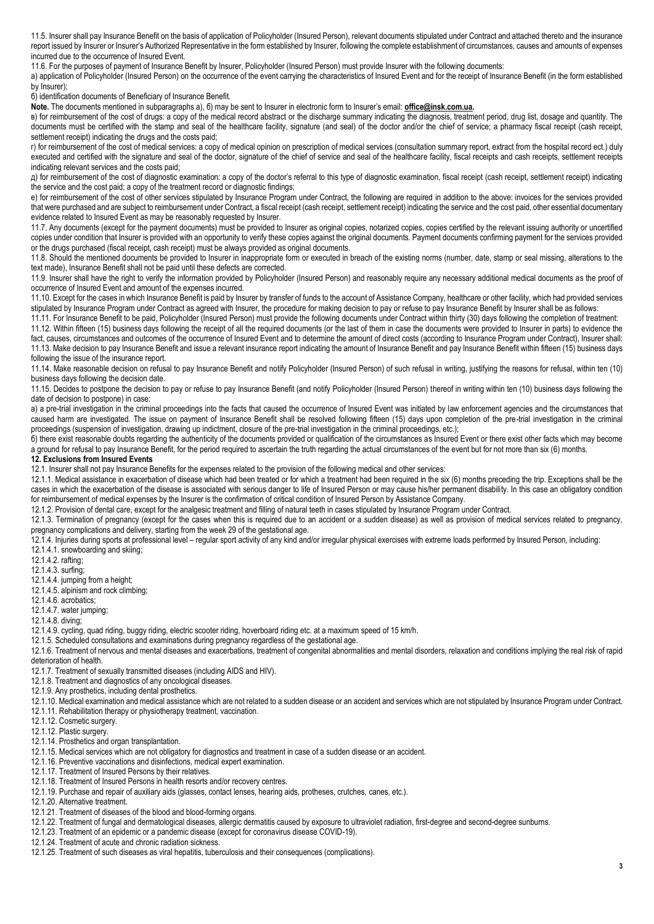11.5. Insurer shall pay Insurance Benefit on the basis of application of Policyholder (Insured Person), relevant documents stipulated under Contract and attached thereto and the insurance report issued by Insurer or Insurer's Authorized Representative in the form established by Insurer, following the complete establishment of circumstances, causes and amounts of expenses incurred due to the occurrence of Insured Event.

11.6. For the purposes of payment of Insurance Benefit by Insurer, Policyholder (Insured Person) must provide Insurer with the following documents:

a) application of Policyholder (Insured Person) on the occurrence of the event carrying the characteristics of Insured Event and for the receipt of Insurance Benefit (in the form established by Insurer);

б) identification documents of Beneficiary of Insurance Benefit.

**Note.** The documents mentioned in subparagraphs а), б) may be sent to Insurer in electronic form to Insurer's email: **[office@insk.com.ua.](mailto:office@insk.com.ua)**

в) for reimbursement of the cost of drugs: a copy of the medical record abstract or the discharge summary indicating the diagnosis, treatment period, drug list, dosage and quantity. The documents must be certified with the stamp and seal of the healthcare facility, signature (and seal) of the doctor and/or the chief of service; a pharmacy fiscal receipt (cash receipt, settlement receipt) indicating the drugs and the costs paid;

r) for reimbursement of the cost of medical services: a copy of medical opinion on prescription of medical services (consultation summary report, extract from the hospital record ect.) duly executed and certified with the signature and seal of the doctor, signature of the chief of service and seal of the healthcare facility, fiscal receipts and cash receipts, settlement receipts indicating relevant services and the costs paid;

д) for reimbursement of the cost of diagnostic examination: a copy of the doctor's referral to this type of diagnostic examination, fiscal receipt (cash receipt, settlement receipt) indicating the service and the cost paid; a copy of the treatment record or diagnostic findings;

е) for reimbursement of the cost of other services stipulated by Insurance Program under Contract, the following are required in addition to the above: invoices for the services provided that were purchased and are subject to reimbursement under Contract, a fiscal receipt (cash receipt, settlement receipt) indicating the service and the cost paid, other essential documentary evidence related to Insured Event as may be reasonably requested by Insurer.

11.7. Any documents (except for the payment documents) must be provided to Insurer as original copies, notarized copies, copies certified by the relevant issuing authority or uncertified copies under condition that Insurer is provided with an opportunity to verify these copies against the original documents. Payment documents confirming payment for the services provided or the drugs purchased (fiscal receipt, cash receipt) must be always provided as original documents.

11.8. Should the mentioned documents be provided to Insurer in inappropriate form or executed in breach of the existing norms (number, date, stamp or seal missing, alterations to the text made), Insurance Benefit shall not be paid until these defects are corrected.

11.9. Insurer shall have the right to verify the information provided by Policyholder (Insured Person) and reasonably require any necessary additional medical documents as the proof of occurrence of Insured Event and amount of the expenses incurred.

11.10. Except for the cases in which Insurance Benefit is paid by Insurer by transfer of funds to the account of Assistance Company, healthcare or other facility, which had provided services stipulated by Insurance Program under Contract as agreed with Insurer, the procedure for making decision to pay or refuse to pay Insurance Benefit by Insurer shall be as follows:

11.11. For Insurance Benefit to be paid, Policyholder (Insured Person) must provide the following documents under Contract within thirty (30) days following the completion of treatment: 11.12. Within fifteen (15) business days following the receipt of all the required documents (or the last of them in case the documents were provided to Insurer in parts) to evidence the fact, causes, circumstances and outcomes of the occurrence of Insured Event and to determine the amount of direct costs (according to Insurance Program under Contract), Insurer shall: 11.13. Make decision to pay Insurance Benefit and issue a relevant insurance report indicating the amount of Insurance Benefit and pay Insurance Benefit within fifteen (15) business days following the issue of the insurance report.

11.14. Make reasonable decision on refusal to pay Insurance Benefit and notify Policyholder (Insured Person) of such refusal in writing, justifying the reasons for refusal, within ten (10) business days following the decision date.

11.15. Decides to postpone the decision to pay or refuse to pay Insurance Benefit (and notify Policyholder (Insured Person) thereof in writing within ten (10) business days following the date of decision to postpone) in case:

a) a pre-trial investigation in the criminal proceedings into the facts that caused the occurrence of Insured Event was initiated by law enforcement agencies and the circumstances that caused harm are investigated. The issue on payment of Insurance Benefit shall be resolved following fifteen (15) days upon completion of the pre-trial investigation in the criminal proceedings (suspension of investigation, drawing up indictment, closure of the pre-trial investigation in the criminal proceedings, etc.);

б) there exist reasonable doubts regarding the authenticity of the documents provided or qualification of the circumstances as Insured Event or there exist other facts which may become a ground for refusal to pay Insurance Benefit, for the period required to ascertain the truth regarding the actual circumstances of the event but for not more than six (6) months.

### **12. Exclusions from Insured Events**

12.1. Insurer shall not pay Insurance Benefits for the expenses related to the provision of the following medical and other services:

12.1.1. Medical assistance in exacerbation of disease which had been treated or for which a treatment had been required in the six (6) months preceding the trip. Exceptions shall be the cases in which the exacerbation of the disease is associated with serious danger to life of Insured Person or may cause his/her permanent disability. In this case an obligatory condition for reimbursement of medical expenses by the Insurer is the confirmation of critical condition of Insured Person by Assistance Company.

12.1.2. Provision of dental care, except for the analgesic treatment and filling of natural teeth in cases stipulated by Insurance Program under Contract.

12.1.3. Termination of pregnancy (except for the cases when this is required due to an accident or a sudden disease) as well as provision of medical services related to pregnancy, pregnancy complications and delivery, starting from the week 29 of the gestational age.

12.1.4. Injuries during sports at professional level – regular sport activity of any kind and/or irregular physical exercises with extreme loads performed by Insured Person, including:

- 12.1.4.1. snowboarding and skiing;
- 12.1.4.2. rafting;
- 12.1.4.3. surfing;
- 12.1.4.4. jumping from a height;
- 12.1.4.5. alpinism and rock climbing;
- 12.1.4.6. acrobatics;

12.1.4.7. water jumping;

12.1.4.8. diving;

12.1.4.9. cycling, quad riding, buggy riding, electric scooter riding, hoverboard riding etc. at a maximum speed of 15 km/h.

12.1.5. Scheduled consultations and examinations during pregnancy regardless of the gestational age.

12.1.6. Treatment of nervous and mental diseases and exacerbations, treatment of congenital abnormalities and mental disorders, relaxation and conditions implying the real risk of rapid deterioration of health.

12.1.7. Treatment of sexually transmitted diseases (including AIDS and HIV).

- 12.1.8. Treatment and diagnostics of any oncological diseases.
- 12.1.9. Any prosthetics, including dental prosthetics.
- 12.1.10. Medical examination and medical assistance which are not related to a sudden disease or an accident and services which are not stipulated by Insurance Program under Contract. 12.1.11. Rehabilitation therapy or physiotherapy treatment, vaccination.
- 12.1.12. Cosmetic surgery.
- 12.1.12. Plastic surgery.

12.1.14. Prosthetics and organ transplantation.

- 12.1.15. Medical services which are not obligatory for diagnostics and treatment in case of a sudden disease or an accident.
- 12.1.16. Preventive vaccinations and disinfections, medical expert examination.
- 12.1.17. Treatment of Insured Persons by their relatives.
- 12.1.18. Treatment of Insured Persons in health resorts and/or recovery centres.
- 12.1.19. Purchase and repair of auxiliary aids (glasses, contact lenses, hearing aids, protheses, crutches, canes, etc.).
- 12.1.20. Alternative treatment.
- 12.1.21. Treatment of diseases of the blood and blood-forming organs.
- 12.1.22. Treatment of fungal and dermatological diseases, allergic dermatitis caused by exposure to ultraviolet radiation, first-degree and second-degree sunburns.
- 12.1.23. Treatment of an epidemic or a pandemic disease (except for coronavirus disease COVID-19).
- 12.1.24. Treatment of acute and chronic radiation sickness.
- 12.1.25. Treatment of such diseases as viral hepatitis, tuberculosis and their consequences (complications).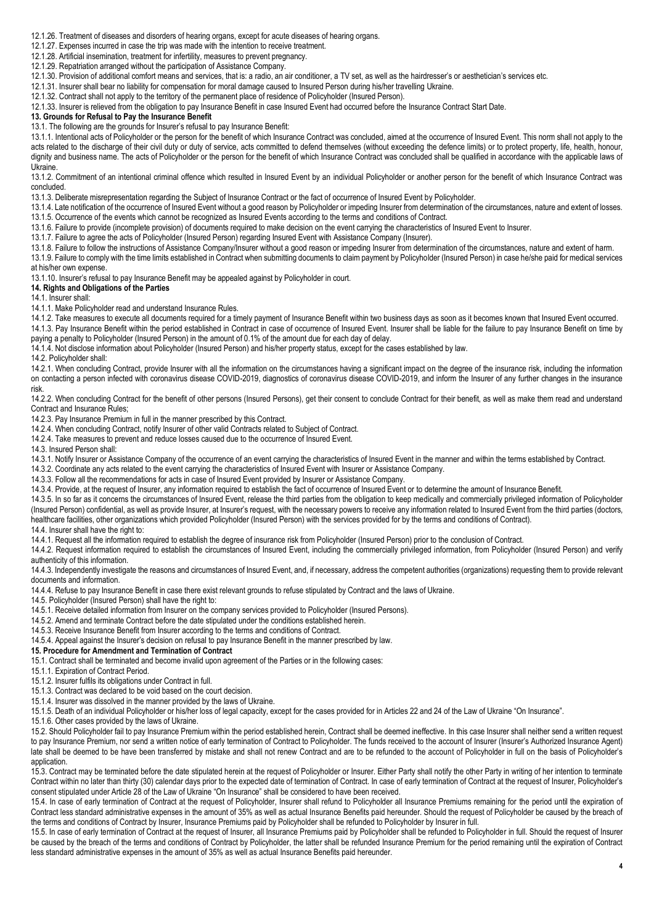12.1.26. Treatment of diseases and disorders of hearing organs, except for acute diseases of hearing organs.

12.1.27. Expenses incurred in case the trip was made with the intention to receive treatment.

12.1.28. Artificial insemination, treatment for infertility, measures to prevent pregnancy.

12.1.29. Repatriation arranged without the participation of Assistance Company.

12.1.30. Provision of additional comfort means and services, that is: a radio, an air conditioner, a TV set, as well as the hairdresser's or aesthetician's services etc.

12.1.31. Insurer shall bear no liability for compensation for moral damage caused to Insured Person during his/her travelling Ukraine.

12.1.32. Contract shall not apply to the territory of the permanent place of residence of Policyholder (Insured Person).

12.1.33. Insurer is relieved from the obligation to pay Insurance Benefit in case Insured Event had occurred before the Insurance Contract Start Date.

## **13. Grounds for Refusal to Pay the Insurance Benefit**

13.1. The following are the grounds for Insurer's refusal to pay Insurance Benefit:

13.1.1. Intentional acts of Policyholder or the person for the benefit of which Insurance Contract was concluded, aimed at the occurrence of Insured Event. This norm shall not apply to the acts related to the discharge of their civil duty or duty of service, acts committed to defend themselves (without exceeding the defence limits) or to protect property, life, health, honour, dignity and business name. The acts of Policyholder or the person for the benefit of which Insurance Contract was concluded shall be qualified in accordance with the applicable laws of Ukraine.

13.1.2. Commitment of an intentional criminal offence which resulted in Insured Event by an individual Policyholder or another person for the benefit of which Insurance Contract was concluded.

13.1.3. Deliberate misrepresentation regarding the Subject of Insurance Contract or the fact of occurrence of Insured Event by Policyholder.

13.1.4. Late notification of the occurrence of Insured Event without a good reason by Policyholder or impeding Insurer from determination of the circumstances, nature and extent of losses. 13.1.5. Occurrence of the events which cannot be recognized as Insured Events according to the terms and conditions of Contract.

13.1.6. Failure to provide (incomplete provision) of documents required to make decision on the event carrying the characteristics of Insured Event to Insurer.

13.1.7. Failure to agree the acts of Policyholder (Insured Person) regarding Insured Event with Assistance Company (Insurer).

13.1.8. Failure to follow the instructions of Assistance Company/Insurer without a good reason or impeding Insurer from determination of the circumstances, nature and extent of harm.

13.1.9. Failure to comply with the time limits established in Contract when submitting documents to claim payment by Policyholder (Insured Person) in case he/she paid for medical services at his/her own expense.

13.1.10. Insurer's refusal to pay Insurance Benefit may be appealed against by Policyholder in court.

## **14. Rights and Obligations of the Parties**

14.1. Insurer shall:

14.1.1. Make Policyholder read and understand Insurance Rules.

14.1.2. Take measures to execute all documents required for a timely payment of Insurance Benefit within two business days as soon as it becomes known that Insured Event occurred. 14.1.3. Pay Insurance Benefit within the period established in Contract in case of occurrence of Insured Event. Insurer shall be liable for the failure to pay Insurance Benefit on time by

paying a penalty to Policyholder (Insured Person) in the amount of 0.1% of the amount due for each day of delay.

14.1.4. Not disclose information about Policyholder (Insured Person) and his/her property status, except for the cases established by law.

14.2. Policyholder shall:

14.2.1. When concluding Contract, provide Insurer with all the information on the circumstances having a significant impact on the degree of the insurance risk, including the information on contacting a person infected with coronavirus disease COVID-2019, diagnostics of coronavirus disease COVID-2019, and inform the Insurer of any further changes in the insurance risk.

14.2.2. When concluding Contract for the benefit of other persons (Insured Persons), get their consent to conclude Contract for their benefit, as well as make them read and understand Contract and Insurance Rules;

14.2.3. Pay Insurance Premium in full in the manner prescribed by this Contract.

14.2.4. When concluding Contract, notify Insurer of other valid Contracts related to Subject of Contract.

14.2.4. Take measures to prevent and reduce losses caused due to the occurrence of Insured Event.

14.3. Insured Person shall:

14.3.1. Notify Insurer or Assistance Company of the occurrence of an event carrying the characteristics of Insured Event in the manner and within the terms established by Contract.

14.3.2. Coordinate any acts related to the event carrying the characteristics of Insured Event with Insurer or Assistance Company.

14.3.3. Follow all the recommendations for acts in case of Insured Event provided by Insurer or Assistance Company.

14.3.4. Provide, at the request of Insurer, any information required to establish the fact of occurrence of Insured Event or to determine the amount of Insurance Benefit.

14.3.5. In so far as it concerns the circumstances of Insured Event, release the third parties from the obligation to keep medically and commercially privileged information of Policyholder (Insured Person) confidential, as well as provide Insurer, at Insurer's request, with the necessary powers to receive any information related to Insured Event from the third parties (doctors, healthcare facilities, other organizations which provided Policyholder (Insured Person) with the services provided for by the terms and conditions of Contract). 14.4. Insurer shall have the right to:

14.4.1. Request all the information required to establish the degree of insurance risk from Policyholder (Insured Person) prior to the conclusion of Contract. 14.4.2. Request information required to establish the circumstances of Insured Event, including the commercially privileged information, from Policyholder (Insured Person) and verify

authenticity of this information.

14.4.3. Independently investigate the reasons and circumstances of Insured Event, and, if necessary, address the competent authorities (organizations) requesting them to provide relevant documents and information.

14.4.4. Refuse to pay Insurance Benefit in case there exist relevant grounds to refuse stipulated by Contract and the laws of Ukraine.

14.5. Policyholder (Insured Person) shall have the right to:

14.5.1. Receive detailed information from Insurer on the company services provided to Policyholder (Insured Persons).

14.5.2. Amend and terminate Contract before the date stipulated under the conditions established herein.

14.5.3. Receive Insurance Benefit from Insurer according to the terms and conditions of Contract.

14.5.4. Appeal against the Insurer's decision on refusal to pay Insurance Benefit in the manner prescribed by law.

#### **15. Procedure for Amendment and Termination of Contract**

15.1. Contract shall be terminated and become invalid upon agreement of the Parties or in the following cases:

15.1.1. Expiration of Contract Period.

15.1.2. Insurer fulfils its obligations under Contract in full.

15.1.3. Contract was declared to be void based on the court decision.

15.1.4. Insurer was dissolved in the manner provided by the laws of Ukraine.

15.1.5. Death of an individual Policyholder or his/her loss of legal capacity, except for the cases provided for in Articles 22 and 24 of the Law of Ukraine "On Insurance".

15.1.6. Other cases provided by the laws of Ukraine.

15.2. Should Policyholder fail to pay Insurance Premium within the period established herein, Contract shall be deemed ineffective. In this case Insurer shall neither send a written request to pay Insurance Premium, nor send a written notice of early termination of Contract to Policyholder. The funds received to the account of Insurer (Insurer's Authorized Insurance Agent) late shall be deemed to be have been transferred by mistake and shall not renew Contract and are to be refunded to the account of Policyholder in full on the basis of Policyholder's application

15.3. Contract may be terminated before the date stipulated herein at the request of Policyholder or Insurer. Either Party shall notify the other Party in writing of her intention to terminate Contract within no later than thirty (30) calendar days prior to the expected date of termination of Contract. In case of early termination of Contract at the request of Insurer, Policyholder's consent stipulated under Article 28 of the Law of Ukraine "On Insurance" shall be considered to have been received.

15.4. In case of early termination of Contract at the request of Policyholder, Insurer shall refund to Policyholder all Insurance Premiums remaining for the period until the expiration of Contract less standard administrative expenses in the amount of 35% as well as actual Insurance Benefits paid hereunder. Should the request of Policyholder be caused by the breach of the terms and conditions of Contract by Insurer, Insurance Premiums paid by Policyholder shall be refunded to Policyholder by Insurer in full.

15.5. In case of early termination of Contract at the request of Insurer, all Insurance Premiums paid by Policyholder shall be refunded to Policyholder in full. Should the request of Insurer be caused by the breach of the terms and conditions of Contract by Policyholder, the latter shall be refunded Insurance Premium for the period remaining until the expiration of Contract less standard administrative expenses in the amount of 35% as well as actual Insurance Benefits paid hereunder.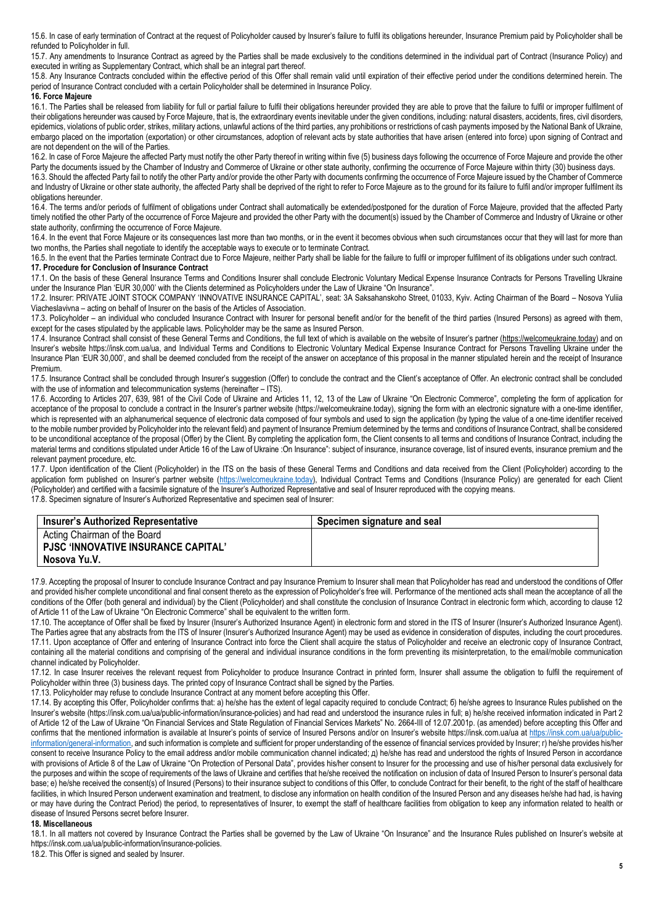15.6. In case of early termination of Contract at the request of Policyholder caused by Insurer's failure to fulfil its obligations hereunder, Insurance Premium paid by Policyholder shall be refunded to Policyholder in full.

15.7. Any amendments to Insurance Contract as agreed by the Parties shall be made exclusively to the conditions determined in the individual part of Contract (Insurance Policy) and executed in writing as Supplementary Contract, which shall be an integral part thereof.

15.8. Any Insurance Contracts concluded within the effective period of this Offer shall remain valid until expiration of their effective period under the conditions determined herein. The period of Insurance Contract concluded with a certain Policyholder shall be determined in Insurance Policy.

### **16. Force Majeure**

16.1. The Parties shall be released from liability for full or partial failure to fulfil their obligations hereunder provided they are able to prove that the failure to fulfil or improper fulfilment of their obligations hereunder was caused by Force Majeure, that is, the extraordinary events inevitable under the given conditions, including: natural disasters, accidents, fires, civil disorders, epidemics, violations of public order, strikes, military actions, unlawful actions of the third parties, any prohibitions or restrictions of cash payments imposed by the National Bank of Ukraine, embargo placed on the importation (exportation) or other circumstances, adoption of relevant acts by state authorities that have arisen (entered into force) upon signing of Contract and are not dependent on the will of the Parties.

16.2. In case of Force Majeure the affected Party must notify the other Party thereof in writing within five (5) business days following the occurrence of Force Majeure and provide the other Party the documents issued by the Chamber of Industry and Commerce of Ukraine or other state authority, confirming the occurrence of Force Majeure within thirty (30) business days. 16.3. Should the affected Party fail to notify the other Party and/or provide the other Party with documents confirming the occurrence of Force Majeure issued by the Chamber of Commerce and Industry of Ukraine or other state authority, the affected Party shall be deprived of the right to refer to Force Majeure as to the ground for its failure to fulfil and/or improper fulfilment its obligations hereunder.

16.4. The terms and/or periods of fulfilment of obligations under Contract shall automatically be extended/postponed for the duration of Force Majeure, provided that the affected Party timely notified the other Party of the occurrence of Force Majeure and provided the other Party with the document(s) issued by the Chamber of Commerce and Industry of Ukraine or other state authority, confirming the occurrence of Force Majeure.

16.4. In the event that Force Majeure or its consequences last more than two months, or in the event it becomes obvious when such circumstances occur that they will last for more than two months, the Parties shall negotiate to identify the acceptable ways to execute or to terminate Contract.

16.5. In the event that the Parties terminate Contract due to Force Majeure, neither Party shall be liable for the failure to fulfil or improper fulfilment of its obligations under such contract. **17. Procedure for Conclusion of Insurance Contract**

17.1. On the basis of these General Insurance Terms and Conditions Insurer shall conclude Electronic Voluntary Medical Expense Insurance Contracts for Persons Travelling Ukraine under the Insurance Plan 'EUR 30,000' with the Clients determined as Policyholders under the Law of Ukraine "On Insurance".

17.2. Insurer: PRIVATE JOINT STOCK COMPANY 'INNOVATIVE INSURANCE CAPITAL', seat: 3A Saksahanskoho Street, 01033, Kyiv. Acting Chairman of the Board – Nosova Yuliia Viacheslavivna – acting on behalf of Insurer on the basis of the Articles of Association.

17.3. Policyholder – an individual who concluded Insurance Contract with Insurer for personal benefit and/or for the benefit of the third parties (Insured Persons) as agreed with them, except for the cases stipulated by the applicable laws. Policyholder may be the same as Insured Person.

17.4. Insurance Contract shall consist of these General Terms and Conditions, the full text of which is available on the website of Insurer's partner ([https://welcomeukraine.today\)](https://visitukraine.today/) and on Insurer's website https://insk.com.ua/ua, and Individual Terms and Conditions to Electronic Voluntary Medical Expense Insurance Contract for Persons Travelling Ukraine under the Insurance Plan 'EUR 30,000', and shall be deemed concluded from the receipt of the answer on acceptance of this proposal in the manner stipulated herein and the receipt of Insurance Premium.

17.5. Insurance Contract shall be concluded through Insurer's suggestion (Offer) to conclude the contract and the Client's acceptance of Offer. An electronic contract shall be concluded with the use of information and telecommunication systems (hereinafter  $-$  ITS).

17.6. According to Articles 207, 639, 981 of the Civil Code of Ukraine and Articles 11, 12, 13 of the Law of Ukraine "On Electronic Commerce", completing the form of application for acceptance of the proposal to conclude a contract in the Insurer's partner website (https://welcomeukraine.today), signing the form with an electronic signature with a one-time identifier, which is represented with an alphanumerical sequence of electronic data composed of four symbols and used to sign the application (by typing the value of a one-time identifier received to the mobile number provided by Policyholder into the relevant field) and payment of Insurance Premium determined by the terms and conditions of Insurance Contract, shall be considered to be unconditional acceptance of the proposal (Offer) by the Client. By completing the application form, the Client consents to all terms and conditions of Insurance Contract, including the material terms and conditions stipulated under Article 16 of the Law of Ukraine :On Insurance": subject of insurance, insurance coverage, list of insured events, insurance premium and the relevant payment procedure, etc.

17.7. Upon identification of the Client (Policyholder) in the ITS on the basis of these General Terms and Conditions and data received from the Client (Policyholder) according to the application form published on Insurer's partner website ([https://welcomeukraine.today\)](https://visitukraine.today/), Individual Contract Terms and Conditions (Insurance Policy) are generated for each Client (Policyholder) and certified with a facsimile signature of the Insurer's Authorized Representative and seal of Insurer reproduced with the copying means. 17.8. Specimen signature of Insurer's Authorized Representative and specimen seal of Insurer:

| <b>Insurer's Authorized Representative</b> | Specimen signature and seal |
|--------------------------------------------|-----------------------------|
| Acting Chairman of the Board               |                             |
| <b>PJSC 'INNOVATIVE INSURANCE CAPITAL'</b> |                             |
| Nosova Yu.V.                               |                             |

17.9. Accepting the proposal of Insurer to conclude Insurance Contract and pay Insurance Premium to Insurer shall mean that Policyholder has read and understood the conditions of Offer and provided his/her complete unconditional and final consent thereto as the expression of Policyholder's free will. Performance of the mentioned acts shall mean the acceptance of all the conditions of the Offer (both general and individual) by the Client (Policyholder) and shall constitute the conclusion of Insurance Contract in electronic form which, according to clause 12 of Article 11 of the Law of Ukraine "On Electronic Commerce" shall be equivalent to the written form.

17.10. The acceptance of Offer shall be fixed by Insurer (Insurer's Authorized Insurance Agent) in electronic form and stored in the ITS of Insurer (Insurer's Authorized Insurance Agent). The Parties agree that any abstracts from the ITS of Insurer (Insurer's Authorized Insurance Agent) may be used as evidence in consideration of disputes, including the court procedures. 17.11. Upon acceptance of Offer and entering of Insurance Contract into force the Client shall acquire the status of Policyholder and receive an electronic copy of Insurance Contract, containing all the material conditions and comprising of the general and individual insurance conditions in the form preventing its misinterpretation, to the email/mobile communication channel indicated by Policyholder.

17.12. In case Insurer receives the relevant request from Policyholder to produce Insurance Contract in printed form, Insurer shall assume the obligation to fulfil the requirement of Policyholder within three (3) business days. The printed copy of Insurance Contract shall be signed by the Parties.

17.13. Policyholder may refuse to conclude Insurance Contract at any moment before accepting this Offer.

17.14. By accepting this Offer, Policyholder confirms that: a) he/she has the extent of legal capacity required to conclude Contract; 6) he/she agrees to Insurance Rules published on the Insurer's website (https://insk.com.ua/ua/public-information/insurance-policies) and had read and understood the insurance rules in full; в) he/she received information indicated in Part 2 of Article 12 of the Law of Ukraine "On Financial Services and State Regulation of Financial Services Markets" No. 2664-III of 12.07.2001p. (as amended) before accepting this Offer and confirms that the mentioned information is available at Insurer's points of service of Insured Persons and/or on Insurer's website https://insk.com.ua/ua at [https://insk.com.ua/ua/public](https://insk.com.ua/ua/public-information/general-information)[information/general-information,](https://insk.com.ua/ua/public-information/general-information) and such information is complete and sufficient for proper understanding of the essence of financial services provided by Insurer; r) he/she provides his/her consent to receive Insurance Policy to the email address and/or mobile communication channel indicated; д) he/she has read and understood the rights of Insured Person in accordance with provisions of Article 8 of the Law of Ukraine "On Protection of Personal Data", provides his/her consent to Insurer for the processing and use of his/her personal data exclusively for the purposes and within the scope of requirements of the laws of Ukraine and certifies that he/she received the notification on inclusion of data of Insured Person to Insurer's personal data base; e) he/she received the consent(s) of Insured (Persons) to their insurance subject to conditions of this Offer, to conclude Contract for their benefit, to the right of the staff of healthcare facilities, in which Insured Person underwent examination and treatment, to disclose any information on health condition of the Insured Person and any diseases he/she had had, is having or may have during the Contract Period) the period, to representatives of Insurer, to exempt the staff of healthcare facilities from obligation to keep any information related to health or disease of Insured Persons secret before Insurer.

## **18. Miscellaneous**

18.1. In all matters not covered by Insurance Contract the Parties shall be governed by the Law of Ukraine "On Insurance" and the Insurance Rules published on Insurer's website at https://insk.com.ua/ua/public-information/insurance-policies.

18.2. This Offer is signed and sealed by Insurer.